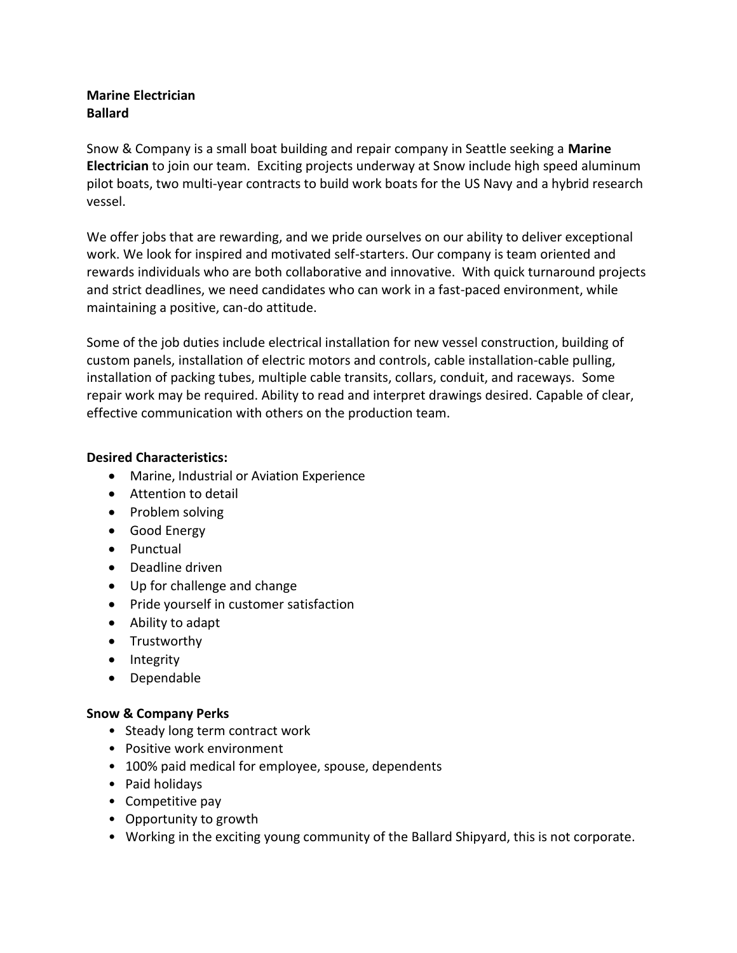# **Marine Electrician Ballard**

Snow & Company is a small boat building and repair company in Seattle seeking a **Marine Electrician** to join our team. Exciting projects underway at Snow include high speed aluminum pilot boats, two multi-year contracts to build work boats for the US Navy and a hybrid research vessel.

We offer jobs that are rewarding, and we pride ourselves on our ability to deliver exceptional work. We look for inspired and motivated self-starters. Our company is team oriented and rewards individuals who are both collaborative and innovative. With quick turnaround projects and strict deadlines, we need candidates who can work in a fast-paced environment, while maintaining a positive, can-do attitude.

Some of the job duties include electrical installation for new vessel construction, building of custom panels, installation of electric motors and controls, cable installation-cable pulling, installation of packing tubes, multiple cable transits, collars, conduit, and raceways. Some repair work may be required. Ability to read and interpret drawings desired. Capable of clear, effective communication with others on the production team.

## **Desired Characteristics:**

- Marine, Industrial or Aviation Experience
- Attention to detail
- Problem solving
- Good Energy
- Punctual
- Deadline driven
- Up for challenge and change
- Pride yourself in customer satisfaction
- Ability to adapt
- Trustworthy
- Integrity
- Dependable

## **Snow & Company Perks**

- Steady long term contract work
- Positive work environment
- 100% paid medical for employee, spouse, dependents
- Paid holidays
- Competitive pay
- Opportunity to growth
- Working in the exciting young community of the Ballard Shipyard, this is not corporate.